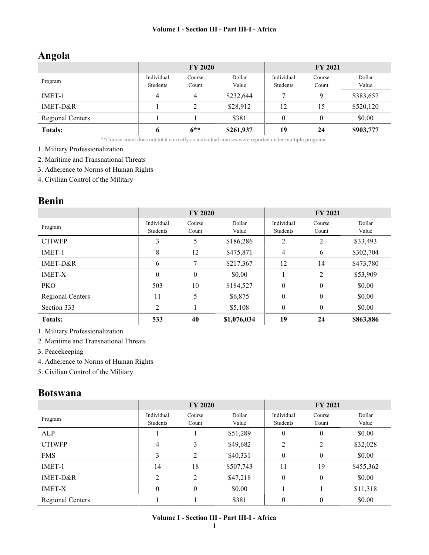# Angola

|                         |            | <b>FY 2020</b> |           | <b>FY 2021</b> |        |           |
|-------------------------|------------|----------------|-----------|----------------|--------|-----------|
| Program                 | Individual | Course         | Dollar    | Individual     | Course | Dollar    |
|                         | Students   | Count          | Value     | Students       | Count  | Value     |
| IMET-1                  | 4          | 4              | \$232,644 |                | 9      | \$383,657 |
| IMET-D&R                |            |                | \$28,912  | 12             | 15     | \$520,120 |
| <b>Regional Centers</b> |            |                | \$381     |                |        | \$0.00    |
| <b>Totals:</b>          |            | $6**$          | \$261,937 | 19             | 24     | \$903,777 |

\*\*Course count does not total correctly as individual courses were reported under multiple programs.

- 1. Military Professionalization
- 2. Maritime and Transnational Threats
- 3. Adherence to Norms of Human Rights
- 4. Civilian Control of the Military

## Benin

|                  |                        | <b>FY 2020</b>  |                 |                        | <b>FY 2021</b>   |                 |
|------------------|------------------------|-----------------|-----------------|------------------------|------------------|-----------------|
| Program          | Individual<br>Students | Course<br>Count | Dollar<br>Value | Individual<br>Students | Course<br>Count  | Dollar<br>Value |
| <b>CTIWFP</b>    | 3                      | 5               | \$186,286       | 2                      | 2                | \$33,493        |
| IMET-1           | 8                      | 12              | \$475,871       | 4                      | 6                | \$302,704       |
| IMET-D&R         | 6                      | 7               | \$217,367       | 12                     | 14               | \$473,780       |
| <b>IMET-X</b>    | $\theta$               | $\theta$        | \$0.00          |                        | 2                | \$53,909        |
| <b>PKO</b>       | 503                    | 10              | \$184,527       | $\boldsymbol{0}$       | $\boldsymbol{0}$ | \$0.00          |
| Regional Centers | 11                     | 5               | \$6,875         | $\mathbf{0}$           | $\boldsymbol{0}$ | \$0.00          |
| Section 333      | 2                      |                 | \$5,108         | $\mathbf{0}$           | $\theta$         | \$0.00          |
| <b>Totals:</b>   | 533                    | 40              | \$1,076,034     | 19                     | 24               | \$863,886       |

1. Military Professionalization

2. Maritime and Transnational Threats

- 3. Peacekeeping
- 4. Adherence to Norms of Human Rights
- 5. Civilian Control of the Military

### Botswana

|                  | <b>FY 2020</b>         |                  |                 | <b>FY 2021</b>         |                 |                 |
|------------------|------------------------|------------------|-----------------|------------------------|-----------------|-----------------|
| Program          | Individual<br>Students | Course<br>Count  | Dollar<br>Value | Individual<br>Students | Course<br>Count | Dollar<br>Value |
| ALP              |                        |                  | \$51,289        | $\mathbf{0}$           | $\mathbf{0}$    | \$0.00          |
| <b>CTIWFP</b>    | 4                      | 3                | \$49,682        | 2                      | 2               | \$32,028        |
| <b>FMS</b>       | 3                      | 2                | \$40,331        | $\mathbf{0}$           | $\mathbf{0}$    | \$0.00          |
| $IMET-1$         | 14                     | 18               | \$507,743       | 11                     | 19              | \$455,362       |
| IMET-D&R         | $\overline{2}$         | 2                | \$47,218        | $\mathbf{0}$           | $\mathbf{0}$    | \$0.00          |
| <b>IMET-X</b>    | $\theta$               | $\boldsymbol{0}$ | \$0.00          |                        |                 | \$11,318        |
| Regional Centers |                        |                  | \$381           | $\theta$               | $\mathbf{0}$    | \$0.00          |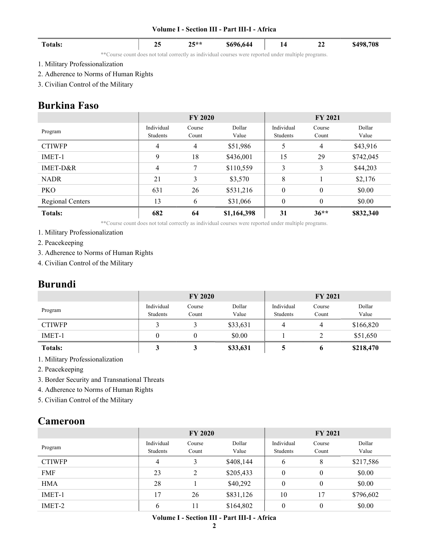| <b>Totals:</b> |           | 25 | $25**$ | $$696,644$   14 22                                                                                                                                                                                                                                           |  | \$498,708 |
|----------------|-----------|----|--------|--------------------------------------------------------------------------------------------------------------------------------------------------------------------------------------------------------------------------------------------------------------|--|-----------|
|                | $16 - 16$ |    |        | $\mathcal{A} = \{ \mathcal{A} \mid \mathcal{A} \leq \mathcal{A} \}$ . The contract of the contract of the contract of the contract of the contract of the contract of the contract of the contract of the contract of the contract of the contract of the co |  |           |

\*\*Course count does not total correctly as individual courses were reported under multiple programs.

- 1. Military Professionalization
- 2. Adherence to Norms of Human Rights
- 3. Civilian Control of the Military

## Burkina Faso

|                  |                        | <b>FY 2020</b>  |                 |                        | <b>FY 2021</b>  |                 |
|------------------|------------------------|-----------------|-----------------|------------------------|-----------------|-----------------|
| Program          | Individual<br>Students | Course<br>Count | Dollar<br>Value | Individual<br>Students | Course<br>Count | Dollar<br>Value |
| <b>CTIWFP</b>    | 4                      | 4               | \$51,986        | 5                      | $\overline{4}$  | \$43,916        |
| IMET-1           | 9                      | 18              | \$436,001       | 15                     | 29              | \$742,045       |
| IMET-D&R         | 4                      | 7               | \$110,559       | 3                      | 3               | \$44,203        |
| <b>NADR</b>      | 21                     | 3               | \$3,570         | 8                      |                 | \$2,176         |
| <b>PKO</b>       | 631                    | 26              | \$531,216       | $\mathbf{0}$           | $\theta$        | \$0.00          |
| Regional Centers | 13                     | 6               | \$31,066        | $\theta$               | $\theta$        | \$0.00          |
| <b>Totals:</b>   | 682                    | 64              | \$1,164,398     | 31                     | $36**$          | \$832,340       |

\*\*Course count does not total correctly as individual courses were reported under multiple programs.

- 1. Military Professionalization
- 2. Peacekeeping
- 3. Adherence to Norms of Human Rights
- 4. Civilian Control of the Military

### Burundi

|                |                        | <b>FY 2020</b>  |                 | <b>FY 2021</b>         |                 |                 |
|----------------|------------------------|-----------------|-----------------|------------------------|-----------------|-----------------|
| Program        | Individual<br>Students | Course<br>Count | Dollar<br>Value | Individual<br>Students | Course<br>Count | Dollar<br>Value |
| <b>CTIWFP</b>  |                        |                 | \$33,631        | 4                      | 4               | \$166,820       |
| IMET-1         |                        |                 | \$0.00          |                        |                 | \$51,650        |
| <b>Totals:</b> |                        |                 | \$33,631        |                        | o               | \$218,470       |

1. Military Professionalization

- 2. Peacekeeping
- 3. Border Security and Transnational Threats
- 4. Adherence to Norms of Human Rights
- 5. Civilian Control of the Military

## Cameroon

|               |                        | <b>FY 2020</b>  |                 | <b>FY 2021</b>         |                 |                 |
|---------------|------------------------|-----------------|-----------------|------------------------|-----------------|-----------------|
| Program       | Individual<br>Students | Course<br>Count | Dollar<br>Value | Individual<br>Students | Course<br>Count | Dollar<br>Value |
| <b>CTIWFP</b> | 4                      | 3               | \$408,144       | 6                      | 8               | \$217,586       |
| <b>FMF</b>    | 23                     | 2               | \$205,433       | $\theta$               | $\theta$        | \$0.00          |
| <b>HMA</b>    | 28                     |                 | \$40,292        | $\theta$               | $\theta$        | \$0.00          |
| IMET-1        | 17                     | 26              | \$831,126       | 10                     | 17              | \$796,602       |
| IMET-2        | 6                      | 11              | \$164,802       | $\theta$               | $\theta$        | \$0.00          |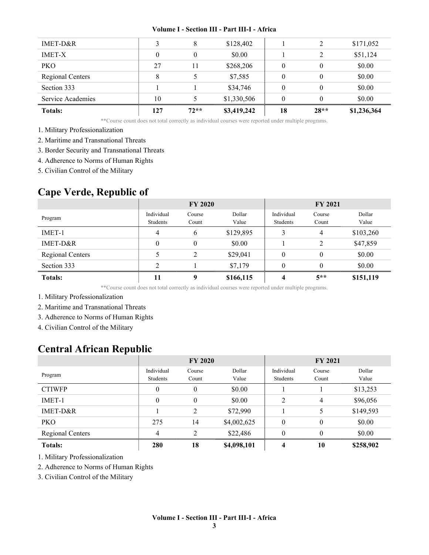| <b>Totals:</b>          | 127 | $72**$ | \$3,419,242 | 18       | $28**$   | \$1,236,364 |
|-------------------------|-----|--------|-------------|----------|----------|-------------|
| Service Academies       | 10  |        | \$1,330,506 | $\Omega$ |          | \$0.00      |
| Section 333             |     |        | \$34,746    | $\theta$ | $\theta$ | \$0.00      |
| <b>Regional Centers</b> | 8   |        | \$7,585     | $\theta$ | $\theta$ | \$0.00      |
| <b>PKO</b>              | 27  | 11     | \$268,206   | $\theta$ | $\theta$ | \$0.00      |
| <b>IMET-X</b>           | 0   | 0      | \$0.00      |          | 2        | \$51,124    |
| IMET-D&R                |     | 8      | \$128,402   |          | 2        | \$171,052   |
|                         |     |        |             |          |          |             |

\*\*Course count does not total correctly as individual courses were reported under multiple programs.

- 1. Military Professionalization
- 2. Maritime and Transnational Threats
- 3. Border Security and Transnational Threats
- 4. Adherence to Norms of Human Rights

5. Civilian Control of the Military

### Cape Verde, Republic of

|                  |                        | <b>FY 2020</b>  |                 |                        | <b>FY 2021</b>  |                 |
|------------------|------------------------|-----------------|-----------------|------------------------|-----------------|-----------------|
| Program          | Individual<br>Students | Course<br>Count | Dollar<br>Value | Individual<br>Students | Course<br>Count | Dollar<br>Value |
| IMET-1           | 4                      | 6               | \$129,895       | 3                      | $\overline{4}$  | \$103,260       |
| IMET-D&R         | $\theta$               | $\theta$        | \$0.00          |                        | 2               | \$47,859        |
| Regional Centers |                        | 2               | \$29,041        | 0                      | $\theta$        | \$0.00          |
| Section 333      | ↑                      |                 | \$7,179         | $\theta$               | $\theta$        | \$0.00          |
| <b>Totals:</b>   | 11                     | 9               | \$166,115       | 4                      | $5**$           | \$151,119       |

\*\*Course count does not total correctly as individual courses were reported under multiple programs.

1. Military Professionalization

- 2. Maritime and Transnational Threats
- 3. Adherence to Norms of Human Rights

4. Civilian Control of the Military

### Central African Republic

|                  |                        | <b>FY 2020</b>   |                 | <b>FY 2021</b>         |                 |                 |  |
|------------------|------------------------|------------------|-----------------|------------------------|-----------------|-----------------|--|
| Program          | Individual<br>Students | Course<br>Count  | Dollar<br>Value | Individual<br>Students | Course<br>Count | Dollar<br>Value |  |
| <b>CTIWFP</b>    | 0                      | 0                | \$0.00          |                        |                 | \$13,253        |  |
| IMET-1           | 0                      | $\boldsymbol{0}$ | \$0.00          | 2                      | 4               | \$96,056        |  |
| IMET-D&R         |                        | 2                | \$72,990        |                        | 5               | \$149,593       |  |
| <b>PKO</b>       | 275                    | 14               | \$4,002,625     | $\theta$               | $\theta$        | \$0.00          |  |
| Regional Centers | 4                      | 2                | \$22,486        | $\theta$               | $\theta$        | \$0.00          |  |
| <b>Totals:</b>   | 280                    | 18               | \$4,098,101     | 4                      | 10              | \$258,902       |  |

1. Military Professionalization

2. Adherence to Norms of Human Rights

3. Civilian Control of the Military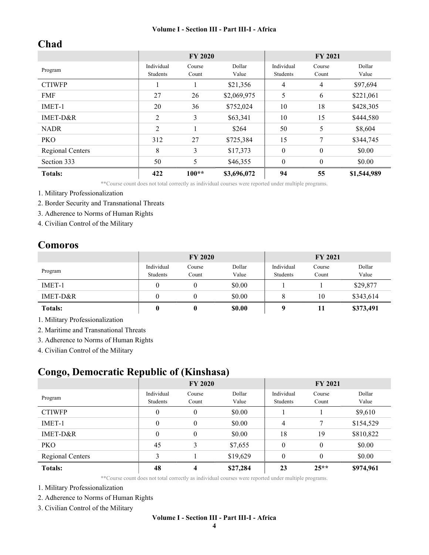# Chad

|                     |                        | <b>FY 2020</b>  |                 | <b>FY 2021</b>         |                 |                 |
|---------------------|------------------------|-----------------|-----------------|------------------------|-----------------|-----------------|
| Program             | Individual<br>Students | Course<br>Count | Dollar<br>Value | Individual<br>Students | Course<br>Count | Dollar<br>Value |
| <b>CTIWFP</b>       |                        |                 | \$21,356        | 4                      | $\overline{4}$  | \$97,694        |
| <b>FMF</b>          | 27                     | 26              | \$2,069,975     | 5                      | 6               | \$221,061       |
| IMET-1              | 20                     | 36              | \$752,024       | 10                     | 18              | \$428,305       |
| <b>IMET-D&amp;R</b> | 2                      | 3               | \$63,341        | 10                     | 15              | \$444,580       |
| <b>NADR</b>         | $\overline{2}$         |                 | \$264           | 50                     | 5               | \$8,604         |
| PKO                 | 312                    | 27              | \$725,384       | 15                     | 7               | \$344,745       |
| Regional Centers    | 8                      | 3               | \$17,373        | $\theta$               | $\theta$        | \$0.00          |
| Section 333         | 50                     | 5               | \$46,355        | $\theta$               | $\theta$        | \$0.00          |
| <b>Totals:</b>      | 422                    | $100**$         | \$3,696,072     | 94                     | 55              | \$1,544,989     |

\*\*Course count does not total correctly as individual courses were reported under multiple programs.

1. Military Professionalization

2. Border Security and Transnational Threats

3. Adherence to Norms of Human Rights

4. Civilian Control of the Military

### Comoros

|                |                        | <b>FY 2020</b>  |                 | <b>FY 2021</b>         |                 |                 |
|----------------|------------------------|-----------------|-----------------|------------------------|-----------------|-----------------|
| Program        | Individual<br>Students | Course<br>Count | Dollar<br>Value | Individual<br>Students | Course<br>Count | Dollar<br>Value |
| IMET-1         |                        |                 | \$0.00          |                        |                 | \$29,877        |
| IMET-D&R       | 0                      |                 | \$0.00          | o                      | 10              | \$343,614       |
| <b>Totals:</b> | $\boldsymbol{0}$       |                 | \$0.00          | Q                      | 11              | \$373,491       |

1. Military Professionalization

2. Maritime and Transnational Threats

3. Adherence to Norms of Human Rights

4. Civilian Control of the Military

# Congo, Democratic Republic of (Kinshasa)

|                         | <b>FY 2020</b> |          |          | <b>FY 2021</b>   |          |           |
|-------------------------|----------------|----------|----------|------------------|----------|-----------|
|                         | Individual     | Course   | Dollar   | Individual       | Course   | Dollar    |
| Program                 | Students       | Count    | Value    | Students         | Count    | Value     |
| <b>CTIWFP</b>           | $\theta$       | $\theta$ | \$0.00   |                  |          | \$9,610   |
| IMET-1                  | $\theta$       | $\theta$ | \$0.00   | 4                | 7        | \$154,529 |
| IMET-D&R                | $\theta$       | $\theta$ | \$0.00   | 18               | 19       | \$810,822 |
| <b>PKO</b>              | 45             | 3        | \$7,655  | $\boldsymbol{0}$ | $\theta$ | \$0.00    |
| <b>Regional Centers</b> | 3              |          | \$19,629 | $\theta$         | $\theta$ | \$0.00    |
| <b>Totals:</b>          | 48             | 4        | \$27,284 | 23               | $25**$   | \$974,961 |

\*\*Course count does not total correctly as individual courses were reported under multiple programs.

1. Military Professionalization

- 2. Adherence to Norms of Human Rights
- 3. Civilian Control of the Military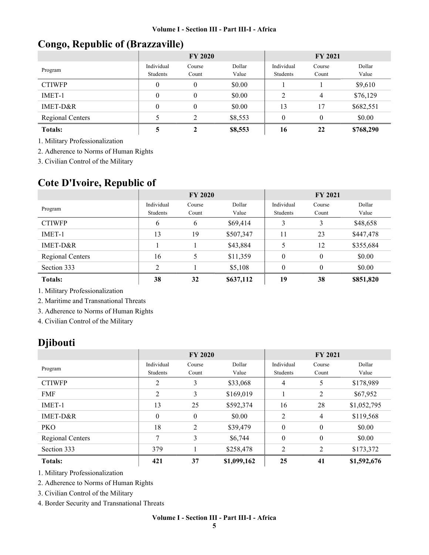# Congo, Republic of (Brazzaville)

|                         |            | <b>FY 2020</b> |         |            | <b>FY 2021</b> |           |  |  |
|-------------------------|------------|----------------|---------|------------|----------------|-----------|--|--|
| Program                 | Individual | Course         | Dollar  | Individual | Course         | Dollar    |  |  |
|                         | Students   | Count          | Value   | Students   | Count          | Value     |  |  |
| <b>CTIWFP</b>           | $\theta$   | $\theta$       | \$0.00  |            |                | \$9,610   |  |  |
| IMET-1                  | $\theta$   | $\theta$       | \$0.00  | 2          | $\overline{4}$ | \$76,129  |  |  |
| IMET-D&R                | $\theta$   | $\theta$       | \$0.00  | 13         | 17             | \$682,551 |  |  |
| <b>Regional Centers</b> |            | $2^{1}$        | \$8,553 | $\theta$   | $\theta$       | \$0.00    |  |  |
| <b>Totals:</b>          |            |                | \$8,553 | 16         | 22             | \$768,290 |  |  |

1. Military Professionalization

2. Adherence to Norms of Human Rights

3. Civilian Control of the Military

# Cote D'Ivoire, Republic of

|                  | <b>FY 2020</b> |        |           | <b>FY 2021</b> |          |           |
|------------------|----------------|--------|-----------|----------------|----------|-----------|
| Program          | Individual     | Course | Dollar    | Individual     | Course   | Dollar    |
|                  | Students       | Count  | Value     | Students       | Count    | Value     |
| <b>CTIWFP</b>    | 6              | 6      | \$69,414  | 3              | 3        | \$48,658  |
| IMET-1           | 13             | 19     | \$507,347 | 11             | 23       | \$447,478 |
| IMET-D&R         |                |        | \$43,884  | 5              | 12       | \$355,684 |
| Regional Centers | 16             | 5      | \$11,359  | $\theta$       | $\theta$ | \$0.00    |
| Section 333      | $\mathcal{D}$  |        | \$5,108   | $\theta$       | $\theta$ | \$0.00    |
| <b>Totals:</b>   | 38             | 32     | \$637,112 | 19             | 38       | \$851,820 |

1. Military Professionalization

2. Maritime and Transnational Threats

3. Adherence to Norms of Human Rights

4. Civilian Control of the Military

## Djibouti

|                  | <b>FY 2020</b>         |                 |                 | <b>FY 2021</b>         |                  |                 |
|------------------|------------------------|-----------------|-----------------|------------------------|------------------|-----------------|
| Program          | Individual<br>Students | Course<br>Count | Dollar<br>Value | Individual<br>Students | Course<br>Count  | Dollar<br>Value |
| <b>CTIWFP</b>    | 2                      | 3               | \$33,068        | 4                      | 5                | \$178,989       |
| <b>FMF</b>       | 2                      | 3               | \$169,019       |                        | 2                | \$67,952        |
| IMET-1           | 13                     | 25              | \$592,374       | 16                     | 28               | \$1,052,795     |
| $IMET-D&R$       | $\theta$               | $\overline{0}$  | \$0.00          | 2                      | $\overline{4}$   | \$119,568       |
| <b>PKO</b>       | 18                     | $\overline{2}$  | \$39,479        | $\mathbf{0}$           | $\mathbf{0}$     | \$0.00          |
| Regional Centers | 7                      | 3               | \$6,744         | $\mathbf{0}$           | $\boldsymbol{0}$ | \$0.00          |
| Section 333      | 379                    |                 | \$258,478       | 2                      | $\overline{2}$   | \$173,372       |
| <b>Totals:</b>   | 421                    | 37              | \$1,099,162     | 25                     | 41               | \$1,592,676     |

1. Military Professionalization

2. Adherence to Norms of Human Rights

3. Civilian Control of the Military

4. Border Security and Transnational Threats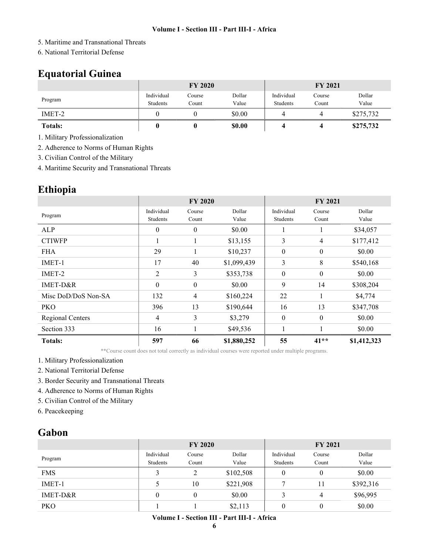- 5. Maritime and Transnational Threats
- 6. National Territorial Defense

# Equatorial Guinea

|                | <b>FY 2020</b>         |                 |                 | <b>FY 2021</b>         |                 |                 |
|----------------|------------------------|-----------------|-----------------|------------------------|-----------------|-----------------|
| Program        | Individual<br>Students | Course<br>Count | Dollar<br>Value | Individual<br>Students | Course<br>Count | Dollar<br>Value |
| IMET-2         |                        |                 | \$0.00          |                        |                 | \$275,732       |
| <b>Totals:</b> |                        |                 | \$0.00          |                        |                 | \$275,732       |

1. Military Professionalization

2. Adherence to Norms of Human Rights

3. Civilian Control of the Military

4. Maritime Security and Transnational Threats

## Ethiopia

|                     | <b>FY 2020</b>         |                  |                 | <b>FY 2021</b>         |                  |                 |
|---------------------|------------------------|------------------|-----------------|------------------------|------------------|-----------------|
| Program             | Individual<br>Students | Course<br>Count  | Dollar<br>Value | Individual<br>Students | Course<br>Count  | Dollar<br>Value |
| ALP                 | $\boldsymbol{0}$       | $\boldsymbol{0}$ | \$0.00          |                        |                  | \$34,057        |
| <b>CTIWFP</b>       |                        |                  | \$13,155        | 3                      | 4                | \$177,412       |
| <b>FHA</b>          | 29                     | 1                | \$10,237        | $\boldsymbol{0}$       | $\boldsymbol{0}$ | \$0.00          |
| IMET-1              | 17                     | 40               | \$1,099,439     | 3                      | 8                | \$540,168       |
| IMET-2              | 2                      | 3                | \$353,738       | $\mathbf{0}$           | $\boldsymbol{0}$ | \$0.00          |
| IMET-D&R            | $\theta$               | $\boldsymbol{0}$ | \$0.00          | 9                      | 14               | \$308,204       |
| Misc DoD/DoS Non-SA | 132                    | 4                | \$160,224       | 22                     | 1                | \$4,774         |
| PKO                 | 396                    | 13               | \$190,644       | 16                     | 13               | \$347,708       |
| Regional Centers    | 4                      | 3                | \$3,279         | $\theta$               | $\theta$         | \$0.00          |
| Section 333         | 16                     |                  | \$49,536        |                        |                  | \$0.00          |
| <b>Totals:</b>      | 597                    | 66               | \$1,880,252     | 55                     | $41**$           | \$1,412,323     |

\*\*Course count does not total correctly as individual courses were reported under multiple programs.

1. Military Professionalization

- 2. National Territorial Defense
- 3. Border Security and Transnational Threats
- 4. Adherence to Norms of Human Rights
- 5. Civilian Control of the Military
- 6. Peacekeeping

### Gabon

|            | <b>FY 2020</b>         |                 |                 | <b>FY 2021</b>         |                 |                 |
|------------|------------------------|-----------------|-----------------|------------------------|-----------------|-----------------|
| Program    | Individual<br>Students | Course<br>Count | Dollar<br>Value | Individual<br>Students | Course<br>Count | Dollar<br>Value |
| <b>FMS</b> |                        | C               | \$102,508       | 0                      | $\theta$        | \$0.00          |
| IMET-1     |                        | 10              | \$221,908       |                        |                 | \$392,316       |
| IMET-D&R   | $\theta$               | $\theta$        | \$0.00          | 3                      | 4               | \$96,995        |
| <b>PKO</b> |                        |                 | \$2,113         | $\theta$               | $\theta$        | \$0.00          |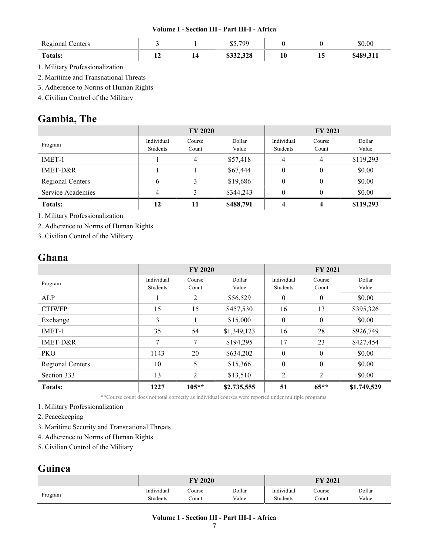| <b>Regional Centers</b> |   |    | \$5.799   |    |    | \$0.00    |
|-------------------------|---|----|-----------|----|----|-----------|
| <b>Totals:</b>          | - | 14 | \$332,328 | 10 | 15 | \$489,311 |

1. Military Professionalization

2. Maritime and Transnational Threats

3. Adherence to Norms of Human Rights

4. Civilian Control of the Military

# Gambia, The

|                   | <b>FY 2020</b>         |                 |                 | <b>FY 2021</b>         |                 |                 |
|-------------------|------------------------|-----------------|-----------------|------------------------|-----------------|-----------------|
| Program           | Individual<br>Students | Course<br>Count | Dollar<br>Value | Individual<br>Students | Course<br>Count | Dollar<br>Value |
| IMET-1            |                        | 4               | \$57,418        | 4                      | 4               | \$119,293       |
| IMET-D&R          |                        |                 | \$67,444        | $\theta$               | $\theta$        | \$0.00          |
| Regional Centers  | b                      | 3               | \$19,686        | $\theta$               | $\theta$        | \$0.00          |
| Service Academies |                        |                 | \$344,243       | $\theta$               | $\theta$        | \$0.00          |
| <b>Totals:</b>    | 12                     | 11              | \$488,791       |                        | 4               | \$119,293       |

1. Military Professionalization

2. Adherence to Norms of Human Rights

3. Civilian Control of the Military

### Ghana

|                  | <b>FY 2020</b>         |                 |                 | <b>FY 2021</b>         |                 |                 |
|------------------|------------------------|-----------------|-----------------|------------------------|-----------------|-----------------|
| Program          | Individual<br>Students | Course<br>Count | Dollar<br>Value | Individual<br>Students | Course<br>Count | Dollar<br>Value |
| ALP              |                        | 2               | \$56,529        | $\theta$               | $\theta$        | \$0.00          |
| <b>CTIWFP</b>    | 15                     | 15              | \$457,530       | 16                     | 13              | \$395,326       |
| Exchange         | 3                      |                 | \$15,000        | $\boldsymbol{0}$       | $\theta$        | \$0.00          |
| IMET-1           | 35                     | 54              | \$1,349,123     | 16                     | 28              | \$926,749       |
| IMET-D&R         | 7                      | 7               | \$194,295       | 17                     | 23              | \$427,454       |
| <b>PKO</b>       | 1143                   | 20              | \$634,202       | $\theta$               | $\theta$        | \$0.00          |
| Regional Centers | 10                     | 5               | \$15,366        | $\boldsymbol{0}$       | $\theta$        | \$0.00          |
| Section 333      | 13                     | 2               | \$13,510        | 2                      | 2               | \$0.00          |
| <b>Totals:</b>   | 1227                   | $105**$         | \$2,735,555     | 51                     | $65***$         | \$1,749,529     |

\*\*Course count does not total correctly as individual courses were reported under multiple programs.

1. Military Professionalization

2. Peacekeeping

- 3. Maritime Security and Transnational Threats
- 4. Adherence to Norms of Human Rights
- 5. Civilian Control of the Military

# Guinea

|         | FY 2020    |        |        | <b>FY 2021</b> |        |        |
|---------|------------|--------|--------|----------------|--------|--------|
| Program | Individual | Course | Dollar | Individual     | Course | Dollar |
|         | Students   | .`ount | Value  | Students       | Count  | Value  |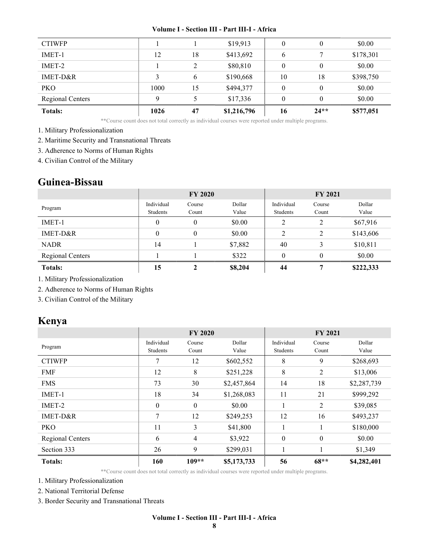| <b>CTIWFP</b>    |      |    | \$19,913    |          | 0        | \$0.00    |
|------------------|------|----|-------------|----------|----------|-----------|
| IMET-1           | 12   | 18 | \$413,692   | 6        | 7        | \$178,301 |
| IMET-2           |      | C  | \$80,810    | $\theta$ | $\theta$ | \$0.00    |
| $IMET-D&R$       |      | 6  | \$190,668   | 10       | 18       | \$398,750 |
| <b>PKO</b>       | 1000 | 15 | \$494,377   | $\theta$ | $\theta$ | \$0.00    |
| Regional Centers | Q    |    | \$17,336    | 0        | $\theta$ | \$0.00    |
| <b>Totals:</b>   | 1026 | 47 | \$1,216,796 | 16       | $24**$   | \$577,051 |

\*\*Course count does not total correctly as individual courses were reported under multiple programs.

1. Military Professionalization

2. Maritime Security and Transnational Threats

3. Adherence to Norms of Human Rights

4. Civilian Control of the Military

# Guinea-Bissau

|                  | <b>FY 2020</b> |          |         | <b>FY 2021</b> |          |           |
|------------------|----------------|----------|---------|----------------|----------|-----------|
| Program          | Individual     | Course   | Dollar  | Individual     | Course   | Dollar    |
|                  | Students       | Count    | Value   | Students       | Count    | Value     |
| IMET-1           | 0              | 0        | \$0.00  | 2              | 2        | \$67,916  |
| IMET-D&R         | $\theta$       | $\theta$ | \$0.00  | 2              | 2        | \$143,606 |
| <b>NADR</b>      | 14             |          | \$7,882 | 40             | 3        | \$10,811  |
| Regional Centers |                |          | \$322   | $\theta$       | $\theta$ | \$0.00    |
| <b>Totals:</b>   | 15             | ኅ        | \$8,204 | 44             | 7        | \$222,333 |

1. Military Professionalization

2. Adherence to Norms of Human Rights

3. Civilian Control of the Military

# Kenya

|                  | <b>FY 2020</b>         |                  |                 | <b>FY 2021</b>         |                  |                 |
|------------------|------------------------|------------------|-----------------|------------------------|------------------|-----------------|
| Program          | Individual<br>Students | Course<br>Count  | Dollar<br>Value | Individual<br>Students | Course<br>Count  | Dollar<br>Value |
| <b>CTIWFP</b>    | 7                      | 12               | \$602,552       | 8                      | 9                | \$268,693       |
| <b>FMF</b>       | 12                     | 8                | \$251,228       | 8                      | 2                | \$13,006        |
| <b>FMS</b>       | 73                     | 30               | \$2,457,864     | 14                     | 18               | \$2,287,739     |
| IMET-1           | 18                     | 34               | \$1,268,083     | 11                     | 21               | \$999,292       |
| IMET-2           | $\mathbf{0}$           | $\boldsymbol{0}$ | \$0.00          |                        | 2                | \$39,085        |
| IMET-D&R         | 7                      | 12               | \$249,253       | 12                     | 16               | \$493,237       |
| <b>PKO</b>       | 11                     | 3                | \$41,800        |                        |                  | \$180,000       |
| Regional Centers | 6                      | $\overline{4}$   | \$3,922         | $\boldsymbol{0}$       | $\boldsymbol{0}$ | \$0.00          |
| Section 333      | 26                     | 9                | \$299,031       |                        |                  | \$1,349         |
| <b>Totals:</b>   | 160                    | $109**$          | \$5,173,733     | 56                     | $68**$           | \$4,282,401     |

\*\*Course count does not total correctly as individual courses were reported under multiple programs.

1. Military Professionalization

2. National Territorial Defense

3. Border Security and Transnational Threats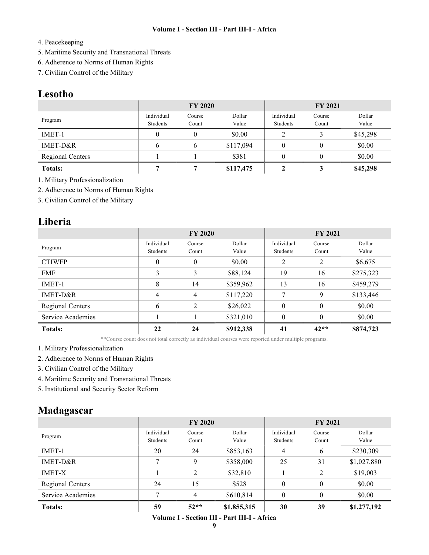#### 4. Peacekeeping

- 5. Maritime Security and Transnational Threats
- 6. Adherence to Norms of Human Rights
- 7. Civilian Control of the Military

### Lesotho

|                         | <b>FY 2020</b>         |                 |                 | <b>FY 2021</b>         |                 |                 |
|-------------------------|------------------------|-----------------|-----------------|------------------------|-----------------|-----------------|
| Program                 | Individual<br>Students | Course<br>Count | Dollar<br>Value | Individual<br>Students | Course<br>Count | Dollar<br>Value |
| $IMET-1$                |                        |                 | \$0.00          | 2                      |                 | \$45,298        |
| IMET-D&R                | b                      | b               | \$117,094       | 0                      | 0               | \$0.00          |
| <b>Regional Centers</b> |                        |                 | \$381           | $\theta$               |                 | \$0.00          |
| <b>Totals:</b>          |                        |                 | \$117,475       |                        | 3               | \$45,298        |

1. Military Professionalization

2. Adherence to Norms of Human Rights

3. Civilian Control of the Military

### Liberia

|                   | <b>FY 2020</b>   |                |           | <b>FY 2021</b> |          |           |
|-------------------|------------------|----------------|-----------|----------------|----------|-----------|
| Program           | Individual       | Course         | Dollar    | Individual     | Course   | Dollar    |
|                   | Students         | Count          | Value     | Students       | Count    | Value     |
| <b>CTIWFP</b>     | $\boldsymbol{0}$ | 0              | \$0.00    | 2              | 2        | \$6,675   |
| <b>FMF</b>        | 3                | 3              | \$88,124  | 19             | 16       | \$275,323 |
| IMET-1            | 8                | 14             | \$359,962 | 13             | 16       | \$459,279 |
| IMET-D&R          | 4                | $\overline{4}$ | \$117,220 | 7              | 9        | \$133,446 |
| Regional Centers  | 6                | 2              | \$26,022  | $\theta$       | $\theta$ | \$0.00    |
| Service Academies |                  |                | \$321,010 | $\theta$       | $\theta$ | \$0.00    |
| <b>Totals:</b>    | 22               | 24             | \$912,338 | 41             | $42**$   | \$874,723 |

\*\*Course count does not total correctly as individual courses were reported under multiple programs.

- 1. Military Professionalization
- 2. Adherence to Norms of Human Rights
- 3. Civilian Control of the Military
- 4. Maritime Security and Transnational Threats
- 5. Institutional and Security Sector Reform

# Madagascar

|                   | <b>FY 2020</b> |        |             | <b>FY 2021</b> |          |             |
|-------------------|----------------|--------|-------------|----------------|----------|-------------|
|                   | Individual     | Course | Dollar      | Individual     | Course   | Dollar      |
| Program           | Students       | Count  | Value       | Students       | Count    | Value       |
| IMET-1            | 20             | 24     | \$853,163   | 4              | 6        | \$230,309   |
| IMET-D&R          | 7              | 9      | \$358,000   | 25             | 31       | \$1,027,880 |
| <b>IMET-X</b>     |                | 2      | \$32,810    |                | 2        | \$19,003    |
| Regional Centers  | 24             | 15     | \$528       | $\theta$       | $\theta$ | \$0.00      |
| Service Academies | 7              | 4      | \$610,814   | $\theta$       | $\theta$ | \$0.00      |
| <b>Totals:</b>    | 59             | $52**$ | \$1,855,315 | 30             | 39       | \$1,277,192 |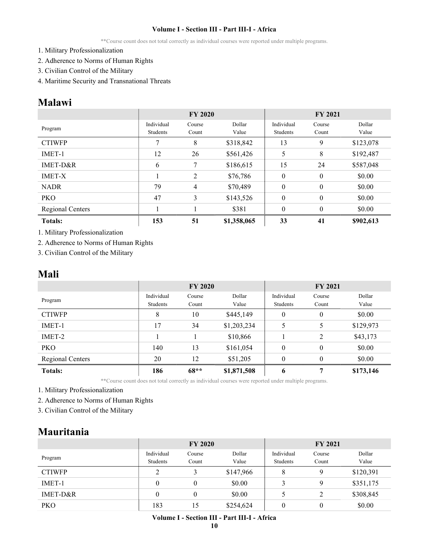\*\*Course count does not total correctly as individual courses were reported under multiple programs.

- 1. Military Professionalization
- 2. Adherence to Norms of Human Rights
- 3. Civilian Control of the Military
- 4. Maritime Security and Transnational Threats

### Malawi

|                  | <b>FY 2020</b>         |                 |                 | <b>FY 2021</b>         |                 |                 |  |
|------------------|------------------------|-----------------|-----------------|------------------------|-----------------|-----------------|--|
| Program          | Individual<br>Students | Course<br>Count | Dollar<br>Value | Individual<br>Students | Course<br>Count | Dollar<br>Value |  |
| <b>CTIWFP</b>    | 7                      | 8               | \$318,842       | 13                     | 9               | \$123,078       |  |
| IMET-1           | 12                     | 26              | \$561,426       | 5                      | 8               | \$192,487       |  |
| IMET-D&R         | 6                      | 7               | \$186,615       | 15                     | 24              | \$587,048       |  |
| <b>IMET-X</b>    |                        | 2               | \$76,786        | $\mathbf{0}$           | $\theta$        | \$0.00          |  |
| <b>NADR</b>      | 79                     | 4               | \$70,489        | $\mathbf{0}$           | $\mathbf{0}$    | \$0.00          |  |
| <b>PKO</b>       | 47                     | 3               | \$143,526       | $\mathbf{0}$           | $\theta$        | \$0.00          |  |
| Regional Centers |                        |                 | \$381           | $\theta$               | $\theta$        | \$0.00          |  |
| <b>Totals:</b>   | 153                    | 51              | \$1,358,065     | 33                     | 41              | \$902,613       |  |

1. Military Professionalization

2. Adherence to Norms of Human Rights

3. Civilian Control of the Military

### Mali

|                  | <b>FY 2020</b>         |                 |                 | <b>FY 2021</b>         |                 |                 |
|------------------|------------------------|-----------------|-----------------|------------------------|-----------------|-----------------|
| Program          | Individual<br>Students | Course<br>Count | Dollar<br>Value | Individual<br>Students | Course<br>Count | Dollar<br>Value |
| <b>CTIWFP</b>    | 8                      | 10              | \$445,149       | $\theta$               | $\theta$        | \$0.00          |
| IMET-1           | 17                     | 34              | \$1,203,234     | 5                      | 5               | \$129,973       |
| IMET-2           |                        |                 | \$10,866        |                        | 2               | \$43,173        |
| <b>PKO</b>       | 140                    | 13              | \$161,054       | $\theta$               | $\theta$        | \$0.00          |
| Regional Centers | 20                     | 12              | \$51,205        | $\theta$               | $\theta$        | \$0.00          |
| <b>Totals:</b>   | 186                    | $68**$          | \$1,871,508     | 6                      | 7               | \$173,146       |

\*\*Course count does not total correctly as individual courses were reported under multiple programs.

1. Military Professionalization

2. Adherence to Norms of Human Rights

3. Civilian Control of the Military

### Mauritania

|               | <b>FY 2020</b>         |                  |                 | <b>FY 2021</b>         |                 |                 |
|---------------|------------------------|------------------|-----------------|------------------------|-----------------|-----------------|
| Program       | Individual<br>Students | Course<br>Count  | Dollar<br>Value | Individual<br>Students | Course<br>Count | Dollar<br>Value |
| <b>CTIWFP</b> | ∍                      | 3                | \$147,966       | 8                      | 9               | \$120,391       |
| IMET-1        | $\theta$               | $\boldsymbol{0}$ | \$0.00          | 3                      | 9               | \$351,175       |
| IMET-D&R      | $\theta$               | $\theta$         | \$0.00          | 5                      | 2               | \$308,845       |
| <b>PKO</b>    | 183                    | 15               | \$254,624       | $\theta$               | 0               | \$0.00          |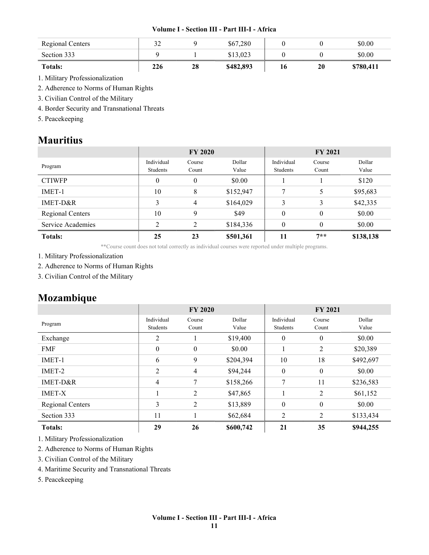| Regional Centers | ے ر |    | \$67,280  |    |    | \$0.00    |
|------------------|-----|----|-----------|----|----|-----------|
| Section 333      |     |    | \$13,023  |    |    | \$0.00    |
| <b>Totals:</b>   | 226 | 28 | \$482,893 | 16 | 20 | \$780,411 |

1. Military Professionalization

2. Adherence to Norms of Human Rights

3. Civilian Control of the Military

4. Border Security and Transnational Threats

5. Peacekeeping

### Mauritius

|                   | <b>FY 2020</b>                |                 |                 | <b>FY 2021</b>         |                 |                 |
|-------------------|-------------------------------|-----------------|-----------------|------------------------|-----------------|-----------------|
| Program           | Individual<br><b>Students</b> | Course<br>Count | Dollar<br>Value | Individual<br>Students | Course<br>Count | Dollar<br>Value |
| <b>CTIWFP</b>     | $\boldsymbol{0}$              | $\theta$        | \$0.00          |                        |                 | \$120           |
| IMET-1            | 10                            | 8               | \$152,947       | 7                      | 5               | \$95,683        |
| $IMET-D&R$        | 3                             | 4               | \$164,029       | 3                      | 3               | \$42,335        |
| Regional Centers  | 10                            | 9               | \$49            | $\theta$               | $\theta$        | \$0.00          |
| Service Academies | ↑                             | $\overline{c}$  | \$184,336       | $\theta$               | $\theta$        | \$0.00          |
| <b>Totals:</b>    | 25                            | 23              | \$501,361       | 11                     | $7**$           | \$138,138       |

\*\*Course count does not total correctly as individual courses were reported under multiple programs.

1. Military Professionalization

2. Adherence to Norms of Human Rights

3. Civilian Control of the Military

### Mozambique

|                  | <b>FY 2020</b>         |                  |                 | <b>FY 2021</b>         |                 |                 |
|------------------|------------------------|------------------|-----------------|------------------------|-----------------|-----------------|
| Program          | Individual<br>Students | Course<br>Count  | Dollar<br>Value | Individual<br>Students | Course<br>Count | Dollar<br>Value |
| Exchange         | 2                      |                  | \$19,400        | $\theta$               | $\mathbf{0}$    | \$0.00          |
| <b>FMF</b>       | $\boldsymbol{0}$       | $\boldsymbol{0}$ | \$0.00          |                        | 2               | \$20,389        |
| IMET-1           | 6                      | 9                | \$204,394       | 10                     | 18              | \$492,697       |
| IMET-2           | 2                      | 4                | \$94,244        | $\mathbf{0}$           | $\mathbf{0}$    | \$0.00          |
| IMET-D&R         | 4                      | 7                | \$158,266       | 7                      | 11              | \$236,583       |
| <b>IMET-X</b>    |                        | 2                | \$47,865        |                        | 2               | \$61,152        |
| Regional Centers | 3                      | 2                | \$13,889        | $\mathbf{0}$           | $\mathbf{0}$    | \$0.00          |
| Section 333      | 11                     |                  | \$62,684        | 2                      | 2               | \$133,434       |
| <b>Totals:</b>   | 29                     | 26               | \$600,742       | 21                     | 35              | \$944,255       |

1. Military Professionalization

2. Adherence to Norms of Human Rights

3. Civilian Control of the Military

4. Maritime Security and Transnational Threats

5. Peacekeeping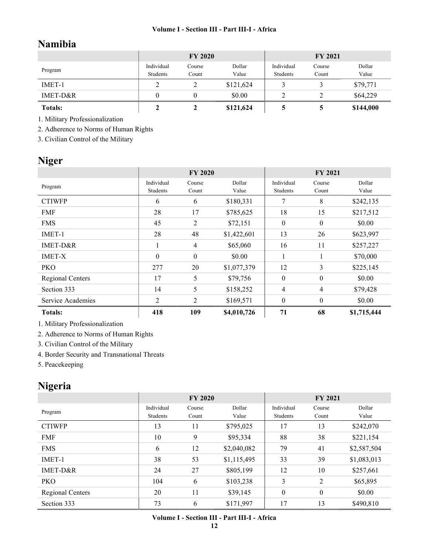# Namibia

|                | <b>FY 2020</b>         |                 |                 | <b>FY 2021</b>         |                 |                 |
|----------------|------------------------|-----------------|-----------------|------------------------|-----------------|-----------------|
| Program        | Individual<br>Students | Course<br>Count | Dollar<br>Value | Individual<br>Students | Course<br>Count | Dollar<br>Value |
| IMET-1         | ∠                      |                 | \$121,624       |                        |                 | \$79,771        |
| IMET-D&R       |                        |                 | \$0.00          |                        |                 | \$64,229        |
| <b>Totals:</b> |                        |                 | \$121,624       |                        |                 | \$144,000       |

1. Military Professionalization

2. Adherence to Norms of Human Rights

3. Civilian Control of the Military

# Niger

|                   | <b>FY 2020</b>         |                  |                 | <b>FY 2021</b>         |                  |                 |
|-------------------|------------------------|------------------|-----------------|------------------------|------------------|-----------------|
| Program           | Individual<br>Students | Course<br>Count  | Dollar<br>Value | Individual<br>Students | Course<br>Count  | Dollar<br>Value |
| <b>CTIWFP</b>     | 6                      | 6                | \$180,331       | 7                      | 8                | \$242,135       |
| <b>FMF</b>        | 28                     | 17               | \$785,625       | 18                     | 15               | \$217,512       |
| <b>FMS</b>        | 45                     | 2                | \$72,151        | $\boldsymbol{0}$       | $\boldsymbol{0}$ | \$0.00          |
| IMET-1            | 28                     | 48               | \$1,422,601     | 13                     | 26               | \$623,997       |
| IMET-D&R          |                        | $\overline{4}$   | \$65,060        | 16                     | 11               | \$257,227       |
| <b>IMET-X</b>     | $\theta$               | $\boldsymbol{0}$ | \$0.00          | 1.                     |                  | \$70,000        |
| <b>PKO</b>        | 277                    | 20               | \$1,077,379     | 12                     | 3                | \$225,145       |
| Regional Centers  | 17                     | 5                | \$79,756        | $\mathbf{0}$           | $\boldsymbol{0}$ | \$0.00          |
| Section 333       | 14                     | 5                | \$158,252       | 4                      | 4                | \$79,428        |
| Service Academies | $\overline{2}$         | $\overline{2}$   | \$169,571       | $\boldsymbol{0}$       | $\boldsymbol{0}$ | \$0.00          |
| <b>Totals:</b>    | 418                    | 109              | \$4,010,726     | 71                     | 68               | \$1,715,444     |

1. Military Professionalization

2. Adherence to Norms of Human Rights

3. Civilian Control of the Military

4. Border Security and Transnational Threats

5. Peacekeeping

# Nigeria

|                  | <b>FY 2020</b>         |                 |                 | <b>FY 2021</b>         |                 |                 |
|------------------|------------------------|-----------------|-----------------|------------------------|-----------------|-----------------|
| Program          | Individual<br>Students | Course<br>Count | Dollar<br>Value | Individual<br>Students | Course<br>Count | Dollar<br>Value |
| <b>CTIWFP</b>    | 13                     | 11              | \$795,025       | 17                     | 13              | \$242,070       |
| <b>FMF</b>       | 10                     | 9               | \$95,334        | 88                     | 38              | \$221,154       |
| <b>FMS</b>       | 6                      | 12              | \$2,040,082     | 79                     | 41              | \$2,587,504     |
| IMET-1           | 38                     | 53              | \$1,115,495     | 33                     | 39              | \$1,083,013     |
| $IMET-D&R$       | 24                     | 27              | \$805,199       | 12                     | 10              | \$257,661       |
| <b>PKO</b>       | 104                    | 6               | \$103,238       | 3                      | 2               | \$65,895        |
| Regional Centers | 20                     | 11              | \$39,145        | $\theta$               | $\mathbf{0}$    | \$0.00          |
| Section 333      | 73                     | 6               | \$171,997       | 17                     | 13              | \$490,810       |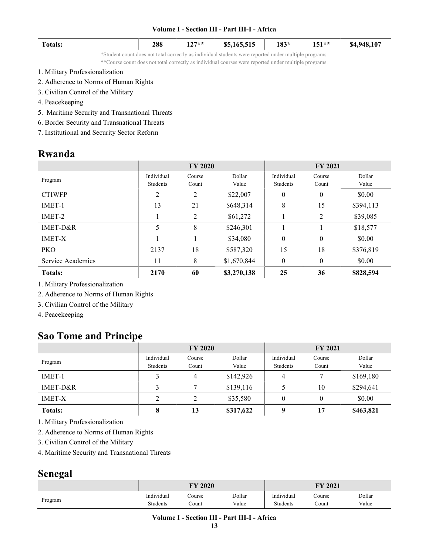| <b>Totals:</b>                  | 288 | $127**$ | \$5,165,515                                                                                                                                                                                                   | $183*$ | $151**$ | \$4,948,107 |
|---------------------------------|-----|---------|---------------------------------------------------------------------------------------------------------------------------------------------------------------------------------------------------------------|--------|---------|-------------|
|                                 |     |         | *Student count does not total correctly as individual students were reported under multiple programs.<br>**Course count does not total correctly as individual courses were reported under multiple programs. |        |         |             |
| 1. Military Professionalization |     |         |                                                                                                                                                                                                               |        |         |             |

- 2. Adherence to Norms of Human Rights
- 3. Civilian Control of the Military
- 4. Peacekeeping

 $\sim$ 

- 5. Maritime Security and Transnational Threats
- 6. Border Security and Transnational Threats
- 7. Institutional and Security Sector Reform

### Rwanda

|                   |            | <b>FY 2020</b> |             | <b>FY 2021</b>   |              |           |
|-------------------|------------|----------------|-------------|------------------|--------------|-----------|
| Program           | Individual | Course         | Dollar      | Individual       | Course       | Dollar    |
|                   | Students   | Count          | Value       | Students         | Count        | Value     |
| <b>CTIWFP</b>     | 2          | 2              | \$22,007    | $\theta$         | $\mathbf{0}$ | \$0.00    |
| IMET-1            | 13         | 21             | \$648,314   | 8                | 15           | \$394,113 |
| IMET-2            |            | $\overline{2}$ | \$61,272    |                  | 2            | \$39,085  |
| $IMET-D&R$        | 5          | 8              | \$246,301   |                  |              | \$18,577  |
| <b>IMET-X</b>     |            | 1              | \$34,080    | $\boldsymbol{0}$ | $\mathbf{0}$ | \$0.00    |
| <b>PKO</b>        | 2137       | 18             | \$587,320   | 15               | 18           | \$376,819 |
| Service Academies | 11         | 8              | \$1,670,844 | $\theta$         | $\theta$     | \$0.00    |
| <b>Totals:</b>    | 2170       | 60             | \$3,270,138 | 25               | 36           | \$828,594 |

1. Military Professionalization

2. Adherence to Norms of Human Rights

- 3. Civilian Control of the Military
- 4. Peacekeeping

## Sao Tome and Principe

|                | <b>FY 2020</b>         |                 |                 | <b>FY 2021</b>         |                 |                 |
|----------------|------------------------|-----------------|-----------------|------------------------|-----------------|-----------------|
| Program        | Individual<br>Students | Course<br>Count | Dollar<br>Value | Individual<br>Students | Course<br>Count | Dollar<br>Value |
| $IMET-1$       |                        | 4               | \$142,926       | 4                      |                 | \$169,180       |
| IMET-D&R       |                        |                 | \$139,116       |                        | 10              | \$294,641       |
| <b>IMET-X</b>  | ↑                      |                 | \$35,580        | $\theta$               | $\theta$        | \$0.00          |
| <b>Totals:</b> | 8                      | 13              | \$317,622       | q                      | 17              | \$463,821       |

1. Military Professionalization

2. Adherence to Norms of Human Rights

3. Civilian Control of the Military

4. Maritime Security and Transnational Threats

## Senegal

|         | <b>FY 2020</b> |        |        | FY 2021    |        |        |  |
|---------|----------------|--------|--------|------------|--------|--------|--|
| Program | Individual     | ourse: | Dollar | Individual | Course | Dollar |  |
|         | Students       | ∵ount  | Value  | Students   | Count  | Value  |  |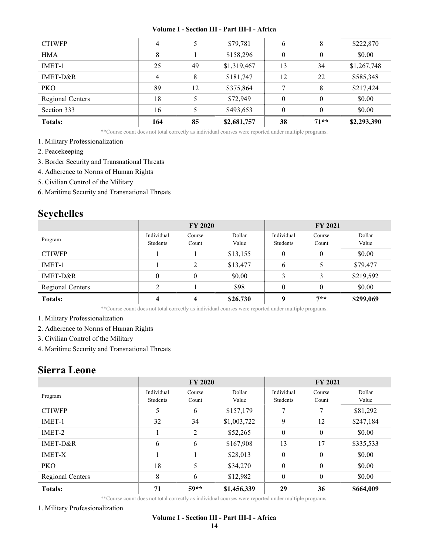| <b>Totals:</b>   | 164 | 85 | \$2,681,757 | 38       | $71**$   | \$2,293,390 |
|------------------|-----|----|-------------|----------|----------|-------------|
| Section 333      | 16  |    | \$493,653   | $\theta$ | $\theta$ | \$0.00      |
| Regional Centers | 18  |    | \$72,949    | $\theta$ | $\theta$ | \$0.00      |
| <b>PKO</b>       | 89  | 12 | \$375,864   | 7        | 8        | \$217,424   |
| IMET-D&R         | 4   | 8  | \$181,747   | 12       | 22       | \$585,348   |
| IMET-1           | 25  | 49 | \$1,319,467 | 13       | 34       | \$1,267,748 |
| <b>HMA</b>       | 8   |    | \$158,296   | $\theta$ | 0        | \$0.00      |
| <b>CTIWFP</b>    | 4   |    | \$79,781    | 6        | 8        | \$222,870   |
|                  |     |    |             |          |          |             |

\*\*Course count does not total correctly as individual courses were reported under multiple programs.

- 1. Military Professionalization
- 2. Peacekeeping
- 3. Border Security and Transnational Threats
- 4. Adherence to Norms of Human Rights
- 5. Civilian Control of the Military
- 6. Maritime Security and Transnational Threats

# Seychelles

|                         | <b>FY 2020</b>         |                 |                 | <b>FY 2021</b>         |                 |                 |
|-------------------------|------------------------|-----------------|-----------------|------------------------|-----------------|-----------------|
| Program                 | Individual<br>Students | Course<br>Count | Dollar<br>Value | Individual<br>Students | Course<br>Count | Dollar<br>Value |
| <b>CTIWFP</b>           |                        |                 | \$13,155        | $\boldsymbol{0}$       | $\theta$        | \$0.00          |
| IMET-1                  |                        | $\overline{2}$  | \$13,477        | 6                      | 5               | \$79,477        |
| IMET-D&R                | $\theta$               | $\theta$        | \$0.00          | 3                      | 3               | \$219,592       |
| <b>Regional Centers</b> |                        |                 | \$98            | $\boldsymbol{0}$       | $\theta$        | \$0.00          |
| <b>Totals:</b>          |                        | 4               | \$26,730        | 9                      | $7**$           | \$299,069       |

\*\*Course count does not total correctly as individual courses were reported under multiple programs.

- 1. Military Professionalization
- 2. Adherence to Norms of Human Rights
- 3. Civilian Control of the Military
- 4. Maritime Security and Transnational Threats

### Sierra Leone

|                         | <b>FY 2020</b>         |                 |                 | <b>FY 2021</b>         |                 |                 |
|-------------------------|------------------------|-----------------|-----------------|------------------------|-----------------|-----------------|
| Program                 | Individual<br>Students | Course<br>Count | Dollar<br>Value | Individual<br>Students | Course<br>Count | Dollar<br>Value |
| <b>CTIWFP</b>           |                        | 6               | \$157,179       | 7                      | 7               | \$81,292        |
| $IMET-1$                | 32                     | 34              | \$1,003,722     | 9                      | 12              | \$247,184       |
| IMET-2                  |                        | 2               | \$52,265        | $\mathbf{0}$           | $\mathbf{0}$    | \$0.00          |
| IMET-D&R                | 6                      | 6               | \$167,908       | 13                     | 17              | \$335,533       |
| <b>IMET-X</b>           |                        |                 | \$28,013        | $\mathbf{0}$           | $\mathbf{0}$    | \$0.00          |
| <b>PKO</b>              | 18                     | 5               | \$34,270        | $\theta$               | $\theta$        | \$0.00          |
| <b>Regional Centers</b> | 8                      | 6               | \$12,982        | $\theta$               | $\Omega$        | \$0.00          |
| <b>Totals:</b>          | 71                     | $59**$          | \$1,456,339     | 29                     | 36              | \$664,009       |

\*\*Course count does not total correctly as individual courses were reported under multiple programs.

1. Military Professionalization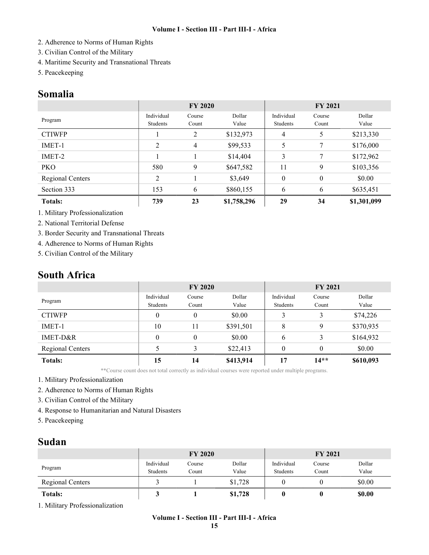- 2. Adherence to Norms of Human Rights
- 3. Civilian Control of the Military
- 4. Maritime Security and Transnational Threats
- 5. Peacekeeping

### Somalia

|                  | <b>FY 2020</b>         |                 |                 | <b>FY 2021</b>         |                  |                 |
|------------------|------------------------|-----------------|-----------------|------------------------|------------------|-----------------|
| Program          | Individual<br>Students | Course<br>Count | Dollar<br>Value | Individual<br>Students | Course<br>Count  | Dollar<br>Value |
| <b>CTIWFP</b>    |                        | 2               | \$132,973       | 4                      | 5                | \$213,330       |
| IMET-1           | $\overline{2}$         | 4               | \$99,533        | 5                      | 7                | \$176,000       |
| IMET-2           |                        |                 | \$14,404        | 3                      | 7                | \$172,962       |
| <b>PKO</b>       | 580                    | 9               | \$647,582       | 11                     | 9                | \$103,356       |
| Regional Centers | 2                      |                 | \$3,649         | $\theta$               | $\boldsymbol{0}$ | \$0.00          |
| Section 333      | 153                    | 6               | \$860,155       | 6                      | 6                | \$635,451       |
| <b>Totals:</b>   | 739                    | 23              | \$1,758,296     | 29                     | 34               | \$1,301,099     |

1. Military Professionalization

2. National Territorial Defense

3. Border Security and Transnational Threats

4. Adherence to Norms of Human Rights

5. Civilian Control of the Military

### South Africa

|                         | <b>FY 2020</b>         |                 |                 | <b>FY 2021</b>         |                 |                 |
|-------------------------|------------------------|-----------------|-----------------|------------------------|-----------------|-----------------|
| Program                 | Individual<br>Students | Course<br>Count | Dollar<br>Value | Individual<br>Students | Course<br>Count | Dollar<br>Value |
| <b>CTIWFP</b>           | 0                      | $\theta$        | \$0.00          | 3                      |                 | \$74,226        |
| IMET-1                  | 10                     | 11              | \$391,501       | 8                      | 9               | \$370,935       |
| IMET-D&R                | 0                      | $\theta$        | \$0.00          | 6                      | 3               | \$164,932       |
| <b>Regional Centers</b> |                        | 3               | \$22,413        | $\theta$               | $\theta$        | \$0.00          |
| <b>Totals:</b>          | 15                     | 14              | \$413,914       | 17                     | $14**$          | \$610,093       |

\*\*Course count does not total correctly as individual courses were reported under multiple programs.

1. Military Professionalization

2. Adherence to Norms of Human Rights

- 3. Civilian Control of the Military
- 4. Response to Humanitarian and Natural Disasters
- 5. Peacekeeping

### Sudan

|                  | <b>FY 2020</b>         |                 |                 | <b>FY 2021</b>         |                 |                 |
|------------------|------------------------|-----------------|-----------------|------------------------|-----------------|-----------------|
| Program          | Individual<br>Students | Course<br>Count | Dollar<br>Value | Individual<br>Students | Course<br>Count | Dollar<br>Value |
| Regional Centers |                        |                 | \$1,728         |                        |                 | \$0.00          |
| <b>Totals:</b>   |                        |                 | \$1,728         |                        |                 | \$0.00          |

1. Military Professionalization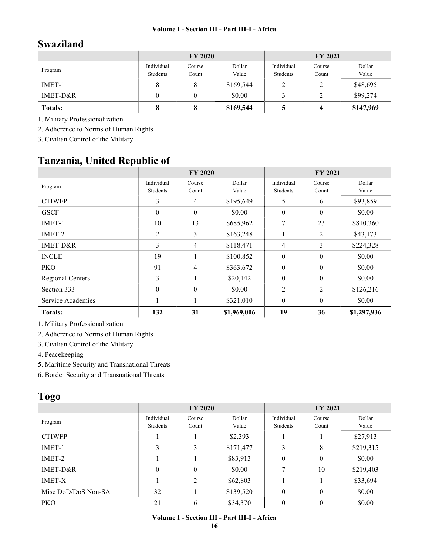# Swaziland

|                | <b>FY 2020</b>         |                 |                 | <b>FY 2021</b>         |                 |                 |
|----------------|------------------------|-----------------|-----------------|------------------------|-----------------|-----------------|
| Program        | Individual<br>Students | Course<br>Count | Dollar<br>Value | Individual<br>Students | Course<br>Count | Dollar<br>Value |
| IMET-1         |                        |                 | \$169,544       |                        | ∠               | \$48,695        |
| IMET-D&R       |                        |                 | \$0.00          |                        |                 | \$99,274        |
| <b>Totals:</b> |                        | O               | \$169,544       |                        |                 | \$147,969       |

1. Military Professionalization

2. Adherence to Norms of Human Rights

3. Civilian Control of the Military

# Tanzania, United Republic of

|                         |                        | <b>FY 2020</b>   |                 | <b>FY 2021</b>         |                  |                 |
|-------------------------|------------------------|------------------|-----------------|------------------------|------------------|-----------------|
| Program                 | Individual<br>Students | Course<br>Count  | Dollar<br>Value | Individual<br>Students | Course<br>Count  | Dollar<br>Value |
| <b>CTIWFP</b>           | 3                      | 4                | \$195,649       | 5                      | 6                | \$93,859        |
| <b>GSCF</b>             | $\theta$               | $\boldsymbol{0}$ | \$0.00          | $\boldsymbol{0}$       | $\theta$         | \$0.00          |
| IMET-1                  | 10                     | 13               | \$685,962       | 7                      | 23               | \$810,360       |
| IMET-2                  | 2                      | 3                | \$163,248       |                        | 2                | \$43,173        |
| $IMET-D&R$              | 3                      | 4                | \$118,471       | $\overline{4}$         | 3                | \$224,328       |
| <b>INCLE</b>            | 19                     |                  | \$100,852       | $\mathbf{0}$           | $\mathbf{0}$     | \$0.00          |
| <b>PKO</b>              | 91                     | 4                | \$363,672       | $\theta$               | $\theta$         | \$0.00          |
| <b>Regional Centers</b> | 3                      |                  | \$20,142        | $\boldsymbol{0}$       | $\mathbf{0}$     | \$0.00          |
| Section 333             | $\boldsymbol{0}$       | $\boldsymbol{0}$ | \$0.00          | 2                      | 2                | \$126,216       |
| Service Academies       |                        |                  | \$321,010       | $\boldsymbol{0}$       | $\boldsymbol{0}$ | \$0.00          |
| <b>Totals:</b>          | 132                    | 31               | \$1,969,006     | 19                     | 36               | \$1,297,936     |

1. Military Professionalization

2. Adherence to Norms of Human Rights

3. Civilian Control of the Military

4. Peacekeeping

5. Maritime Security and Transnational Threats

6. Border Security and Transnational Threats

## Togo

|                     | <b>FY 2020</b>         |                  |                 | <b>FY 2021</b>         |                 |                 |
|---------------------|------------------------|------------------|-----------------|------------------------|-----------------|-----------------|
| Program             | Individual<br>Students | Course<br>Count  | Dollar<br>Value | Individual<br>Students | Course<br>Count | Dollar<br>Value |
| <b>CTIWFP</b>       |                        |                  | \$2,393         |                        |                 | \$27,913        |
| IMET-1              | 3                      | 3                | \$171,477       | 3                      | 8               | \$219,315       |
| IMET-2              |                        |                  | \$83,913        | $\mathbf{0}$           | $\mathbf{0}$    | \$0.00          |
| $IMET-D&R$          | $\theta$               | $\boldsymbol{0}$ | \$0.00          | 7                      | 10              | \$219,403       |
| <b>IMET-X</b>       |                        | 2                | \$62,803        |                        |                 | \$33,694        |
| Misc DoD/DoS Non-SA | 32                     |                  | \$139,520       | $\theta$               | $\theta$        | \$0.00          |
| <b>PKO</b>          | 21                     | 6                | \$34,370        | $\boldsymbol{0}$       | $\theta$        | \$0.00          |